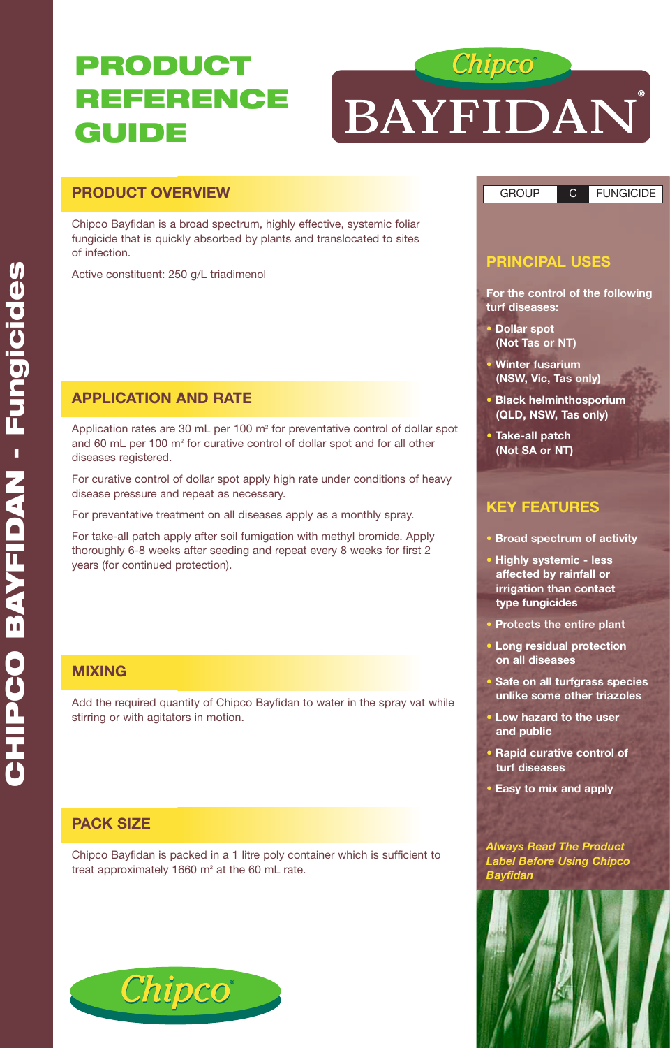# **PRODUCT REFERENCE GUIDE**



## **PRODUCT OVERVIEW**

Chipco Bayfidan is a broad spectrum, highly effective, systemic foliar fungicide that is quickly absorbed by plants and translocated to sites of infection.

Active constituent: 250 g/L triadimenol

## **APPLICATION AND RATE**

Application rates are 30 mL per 100 m<sup>2</sup> for preventative control of dollar spot and 60 mL per 100 m<sup>2</sup> for curative control of dollar spot and for all other diseases registered.

For curative control of dollar spot apply high rate under conditions of heavy disease pressure and repeat as necessary.

For preventative treatment on all diseases apply as a monthly spray.

For take-all patch apply after soil fumigation with methyl bromide. Apply thoroughly 6-8 weeks after seeding and repeat every 8 weeks for first 2 years (for continued protection).

### **MIXING**

Add the required quantity of Chipco Bayfidan to water in the spray vat while stirring or with agitators in motion.

## **PACK SIZE**

Chipco Bayfidan is packed in a 1 litre poly container which is sufficient to treat approximately 1660  $m^2$  at the 60 mL rate.





GROUP C FUNGICIDE

## **PRINCIPAL USES**

**For the control of the following turf diseases:**

- **• Dollar spot (Not Tas or NT)**
- **• Winter fusarium (NSW, Vic, Tas only)**
- **• Black helminthosporium (QLD, NSW, Tas only)**
- **• Take-all patch (Not SA or NT)**

## **KEY FEATURES**

- **• Broad spectrum of activity**
- **• Highly systemic less affected by rainfall or irrigation than contact type fungicides**
- **• Protects the entire plant**
- **• Long residual protection on all diseases**
- **• Safe on all turfgrass species unlike some other triazoles**
- **• Low hazard to the user and public**
- **• Rapid curative control of turf diseases**
- **• Easy to mix and apply**

#### *Always Read The Product Label Before Using Chipco Bayfidan*